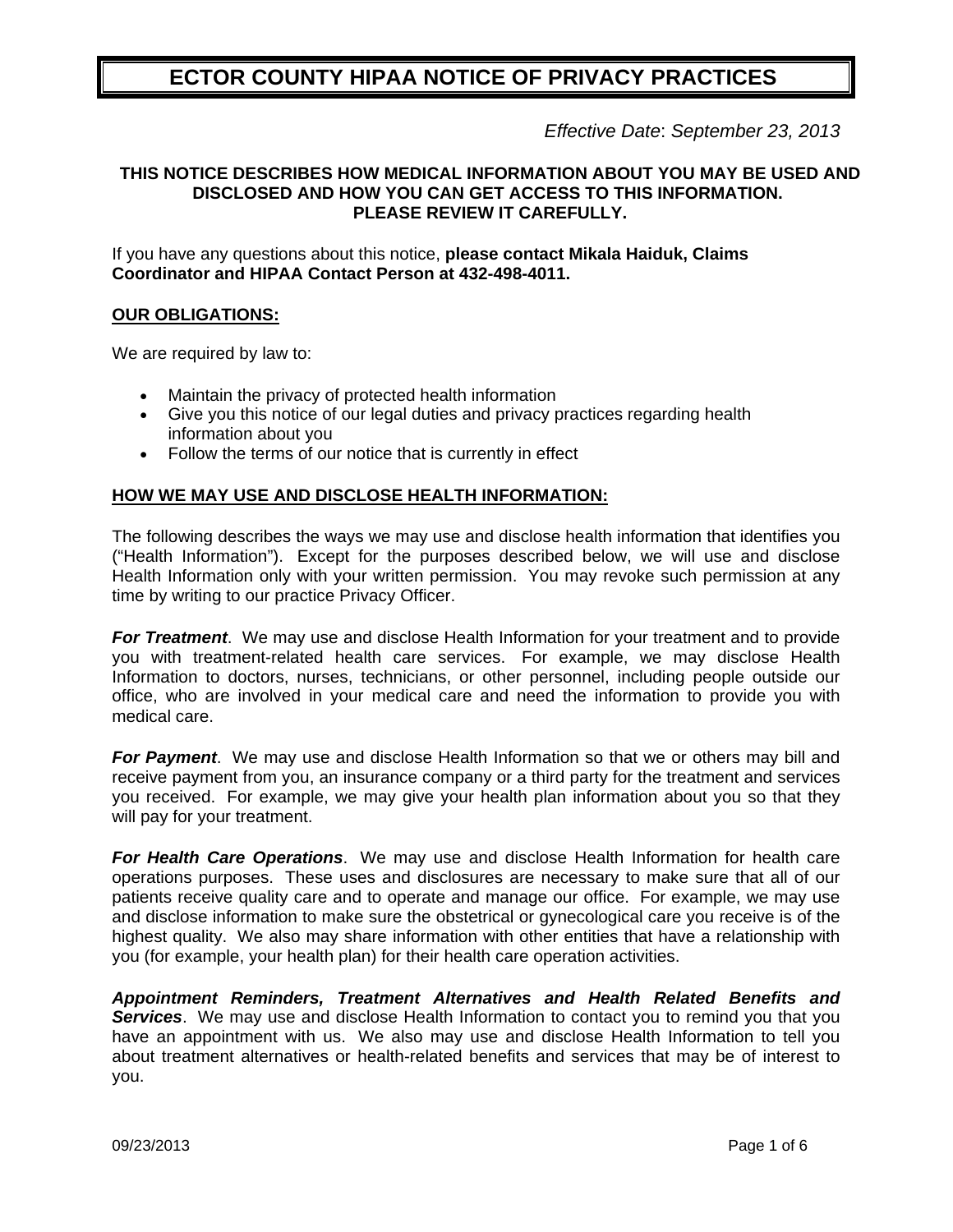# **ECTOR COUNTY HIPAA NOTICE OF PRIVACY PRACTICES**

*Effective Date*: *September 23, 2013*

## **THIS NOTICE DESCRIBES HOW MEDICAL INFORMATION ABOUT YOU MAY BE USED AND DISCLOSED AND HOW YOU CAN GET ACCESS TO THIS INFORMATION. PLEASE REVIEW IT CAREFULLY.**

If you have any questions about this notice, **please contact Mikala Haiduk, Claims Coordinator and HIPAA Contact Person at 432-498-4011.** 

## **OUR OBLIGATIONS:**

We are required by law to:

- Maintain the privacy of protected health information
- Give you this notice of our legal duties and privacy practices regarding health information about you
- Follow the terms of our notice that is currently in effect

## **HOW WE MAY USE AND DISCLOSE HEALTH INFORMATION:**

The following describes the ways we may use and disclose health information that identifies you ("Health Information"). Except for the purposes described below, we will use and disclose Health Information only with your written permission. You may revoke such permission at any time by writing to our practice Privacy Officer.

**For Treatment.** We may use and disclose Health Information for your treatment and to provide you with treatment-related health care services. For example, we may disclose Health Information to doctors, nurses, technicians, or other personnel, including people outside our office, who are involved in your medical care and need the information to provide you with medical care.

*For Payment*. We may use and disclose Health Information so that we or others may bill and receive payment from you, an insurance company or a third party for the treatment and services you received. For example, we may give your health plan information about you so that they will pay for your treatment.

*For Health Care Operations*. We may use and disclose Health Information for health care operations purposes. These uses and disclosures are necessary to make sure that all of our patients receive quality care and to operate and manage our office. For example, we may use and disclose information to make sure the obstetrical or gynecological care you receive is of the highest quality. We also may share information with other entities that have a relationship with you (for example, your health plan) for their health care operation activities.

*Appointment Reminders, Treatment Alternatives and Health Related Benefits and Services*. We may use and disclose Health Information to contact you to remind you that you have an appointment with us. We also may use and disclose Health Information to tell you about treatment alternatives or health-related benefits and services that may be of interest to you.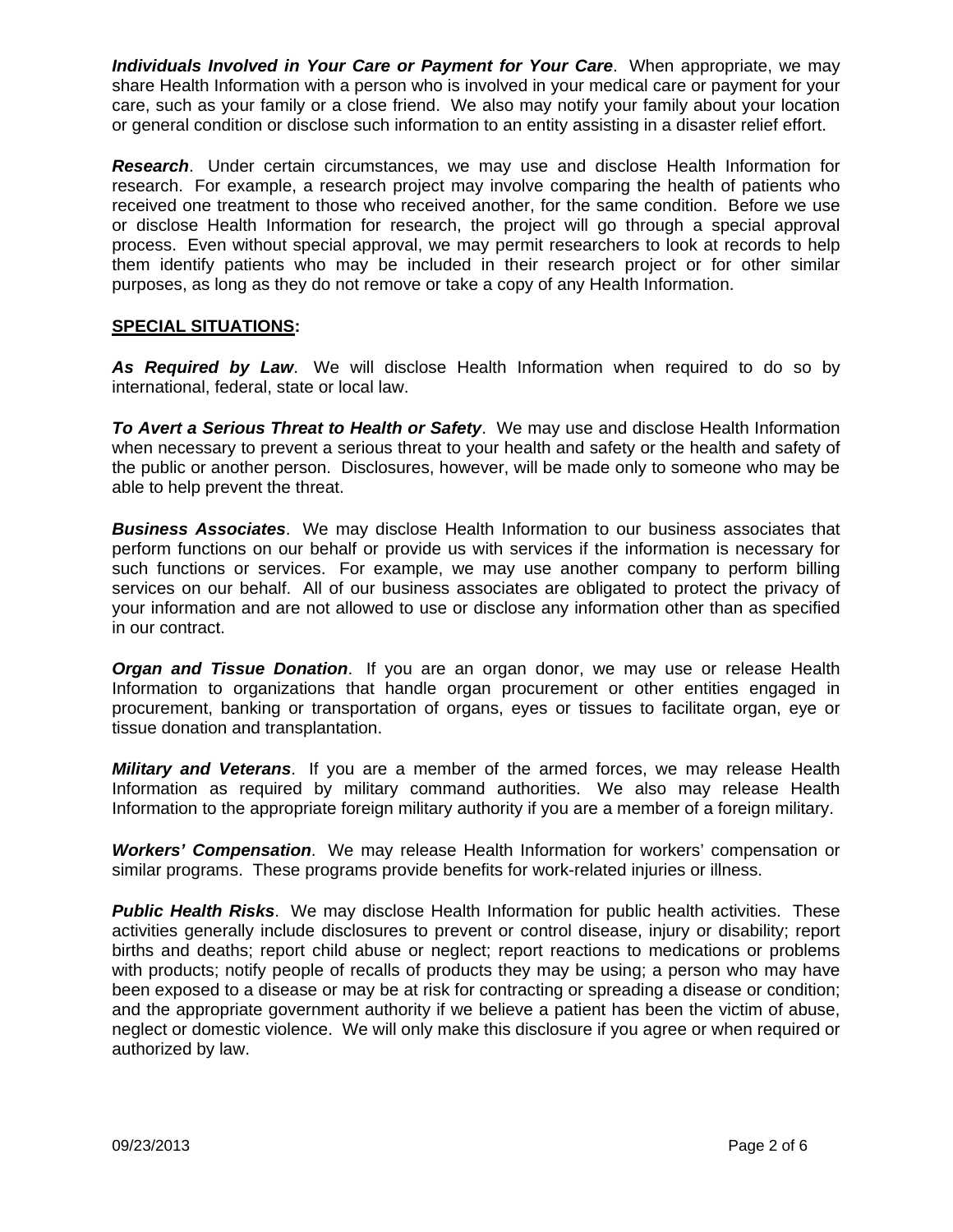*Individuals Involved in Your Care or Payment for Your Care*. When appropriate, we may share Health Information with a person who is involved in your medical care or payment for your care, such as your family or a close friend. We also may notify your family about your location or general condition or disclose such information to an entity assisting in a disaster relief effort.

*Research*. Under certain circumstances, we may use and disclose Health Information for research. For example, a research project may involve comparing the health of patients who received one treatment to those who received another, for the same condition. Before we use or disclose Health Information for research, the project will go through a special approval process. Even without special approval, we may permit researchers to look at records to help them identify patients who may be included in their research project or for other similar purposes, as long as they do not remove or take a copy of any Health Information.

# **SPECIAL SITUATIONS:**

*As Required by Law*. We will disclose Health Information when required to do so by international, federal, state or local law.

*To Avert a Serious Threat to Health or Safety*. We may use and disclose Health Information when necessary to prevent a serious threat to your health and safety or the health and safety of the public or another person. Disclosures, however, will be made only to someone who may be able to help prevent the threat.

*Business Associates*. We may disclose Health Information to our business associates that perform functions on our behalf or provide us with services if the information is necessary for such functions or services. For example, we may use another company to perform billing services on our behalf. All of our business associates are obligated to protect the privacy of your information and are not allowed to use or disclose any information other than as specified in our contract.

*Organ and Tissue Donation*. If you are an organ donor, we may use or release Health Information to organizations that handle organ procurement or other entities engaged in procurement, banking or transportation of organs, eyes or tissues to facilitate organ, eye or tissue donation and transplantation.

*Military and Veterans*. If you are a member of the armed forces, we may release Health Information as required by military command authorities. We also may release Health Information to the appropriate foreign military authority if you are a member of a foreign military.

*Workers' Compensation*. We may release Health Information for workers' compensation or similar programs. These programs provide benefits for work-related injuries or illness.

**Public Health Risks**. We may disclose Health Information for public health activities. These activities generally include disclosures to prevent or control disease, injury or disability; report births and deaths; report child abuse or neglect; report reactions to medications or problems with products; notify people of recalls of products they may be using; a person who may have been exposed to a disease or may be at risk for contracting or spreading a disease or condition; and the appropriate government authority if we believe a patient has been the victim of abuse, neglect or domestic violence. We will only make this disclosure if you agree or when required or authorized by law.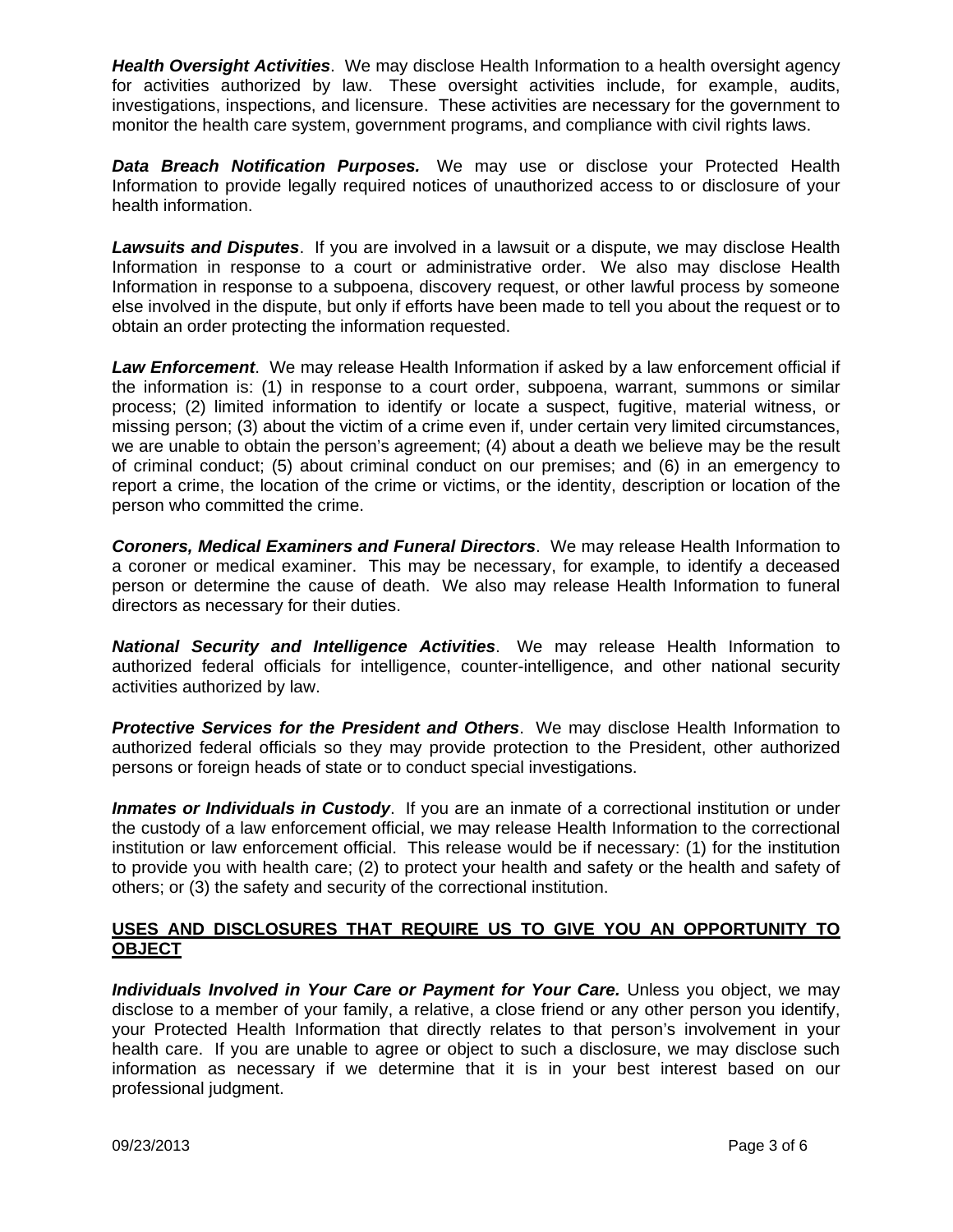*Health Oversight Activities*. We may disclose Health Information to a health oversight agency for activities authorized by law. These oversight activities include, for example, audits, investigations, inspections, and licensure. These activities are necessary for the government to monitor the health care system, government programs, and compliance with civil rights laws.

*Data Breach Notification Purposes.* We may use or disclose your Protected Health Information to provide legally required notices of unauthorized access to or disclosure of your health information.

*Lawsuits and Disputes*. If you are involved in a lawsuit or a dispute, we may disclose Health Information in response to a court or administrative order. We also may disclose Health Information in response to a subpoena, discovery request, or other lawful process by someone else involved in the dispute, but only if efforts have been made to tell you about the request or to obtain an order protecting the information requested.

*Law Enforcement*. We may release Health Information if asked by a law enforcement official if the information is: (1) in response to a court order, subpoena, warrant, summons or similar process; (2) limited information to identify or locate a suspect, fugitive, material witness, or missing person; (3) about the victim of a crime even if, under certain very limited circumstances, we are unable to obtain the person's agreement; (4) about a death we believe may be the result of criminal conduct; (5) about criminal conduct on our premises; and (6) in an emergency to report a crime, the location of the crime or victims, or the identity, description or location of the person who committed the crime.

*Coroners, Medical Examiners and Funeral Directors*. We may release Health Information to a coroner or medical examiner. This may be necessary, for example, to identify a deceased person or determine the cause of death. We also may release Health Information to funeral directors as necessary for their duties.

*National Security and Intelligence Activities*. We may release Health Information to authorized federal officials for intelligence, counter-intelligence, and other national security activities authorized by law.

**Protective Services for the President and Others**. We may disclose Health Information to authorized federal officials so they may provide protection to the President, other authorized persons or foreign heads of state or to conduct special investigations.

**Inmates or Individuals in Custody**. If you are an inmate of a correctional institution or under the custody of a law enforcement official, we may release Health Information to the correctional institution or law enforcement official. This release would be if necessary: (1) for the institution to provide you with health care; (2) to protect your health and safety or the health and safety of others; or (3) the safety and security of the correctional institution.

# **USES AND DISCLOSURES THAT REQUIRE US TO GIVE YOU AN OPPORTUNITY TO OBJECT**

*Individuals Involved in Your Care or Payment for Your Care.* Unless you object, we may disclose to a member of your family, a relative, a close friend or any other person you identify, your Protected Health Information that directly relates to that person's involvement in your health care. If you are unable to agree or object to such a disclosure, we may disclose such information as necessary if we determine that it is in your best interest based on our professional judgment.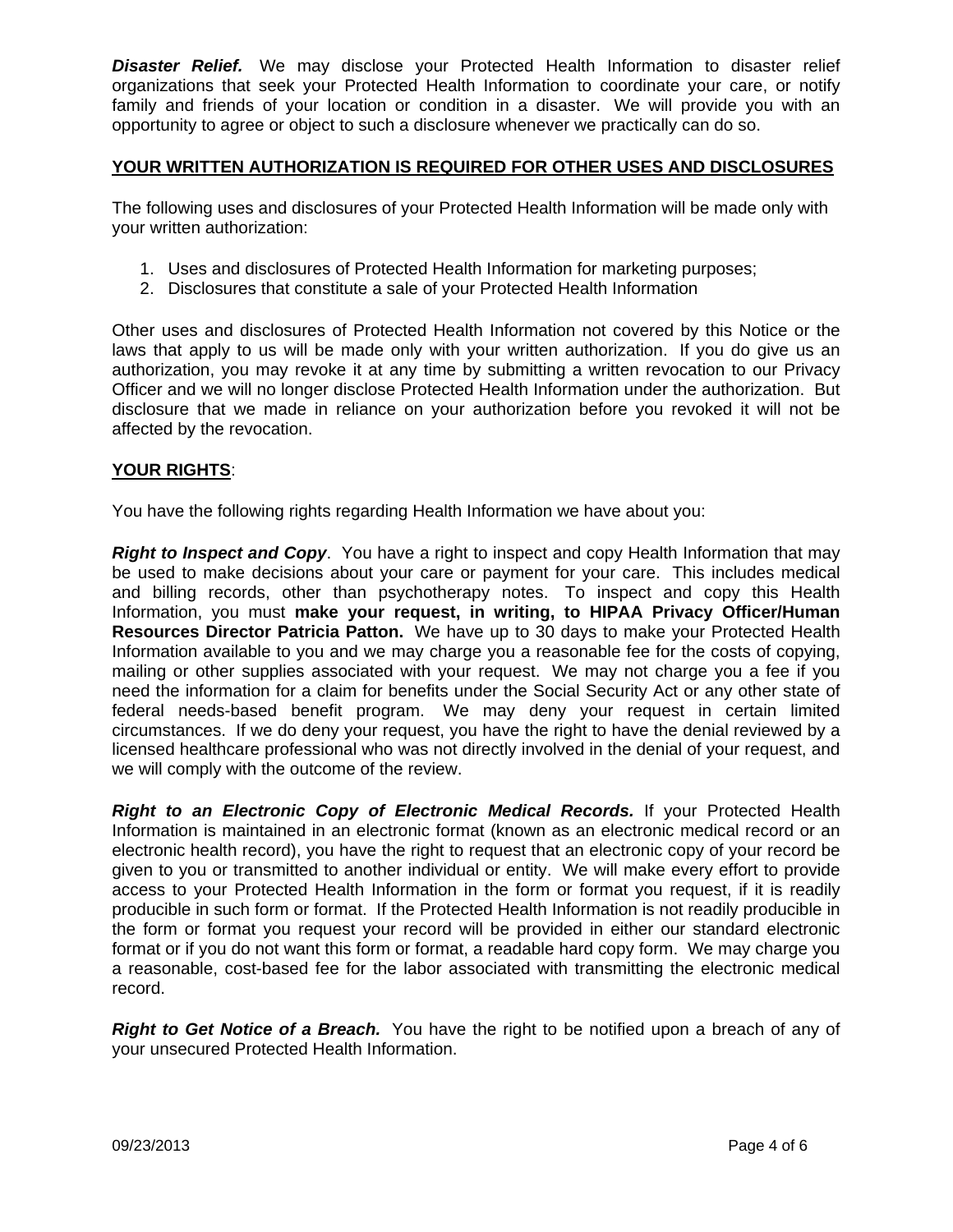*Disaster Relief.* We may disclose your Protected Health Information to disaster relief organizations that seek your Protected Health Information to coordinate your care, or notify family and friends of your location or condition in a disaster. We will provide you with an opportunity to agree or object to such a disclosure whenever we practically can do so.

# **YOUR WRITTEN AUTHORIZATION IS REQUIRED FOR OTHER USES AND DISCLOSURES**

The following uses and disclosures of your Protected Health Information will be made only with your written authorization:

- 1. Uses and disclosures of Protected Health Information for marketing purposes;
- 2. Disclosures that constitute a sale of your Protected Health Information

Other uses and disclosures of Protected Health Information not covered by this Notice or the laws that apply to us will be made only with your written authorization. If you do give us an authorization, you may revoke it at any time by submitting a written revocation to our Privacy Officer and we will no longer disclose Protected Health Information under the authorization. But disclosure that we made in reliance on your authorization before you revoked it will not be affected by the revocation.

## **YOUR RIGHTS**:

You have the following rights regarding Health Information we have about you:

*Right to Inspect and Copy.* You have a right to inspect and copy Health Information that may be used to make decisions about your care or payment for your care. This includes medical and billing records, other than psychotherapy notes. To inspect and copy this Health Information, you must **make your request, in writing, to HIPAA Privacy Officer/Human Resources Director Patricia Patton.** We have up to 30 days to make your Protected Health Information available to you and we may charge you a reasonable fee for the costs of copying, mailing or other supplies associated with your request. We may not charge you a fee if you need the information for a claim for benefits under the Social Security Act or any other state of federal needs-based benefit program. We may deny your request in certain limited circumstances. If we do deny your request, you have the right to have the denial reviewed by a licensed healthcare professional who was not directly involved in the denial of your request, and we will comply with the outcome of the review.

*Right to an Electronic Copy of Electronic Medical Records.* If your Protected Health Information is maintained in an electronic format (known as an electronic medical record or an electronic health record), you have the right to request that an electronic copy of your record be given to you or transmitted to another individual or entity. We will make every effort to provide access to your Protected Health Information in the form or format you request, if it is readily producible in such form or format. If the Protected Health Information is not readily producible in the form or format you request your record will be provided in either our standard electronic format or if you do not want this form or format, a readable hard copy form. We may charge you a reasonable, cost-based fee for the labor associated with transmitting the electronic medical record.

*Right to Get Notice of a Breach.* You have the right to be notified upon a breach of any of your unsecured Protected Health Information.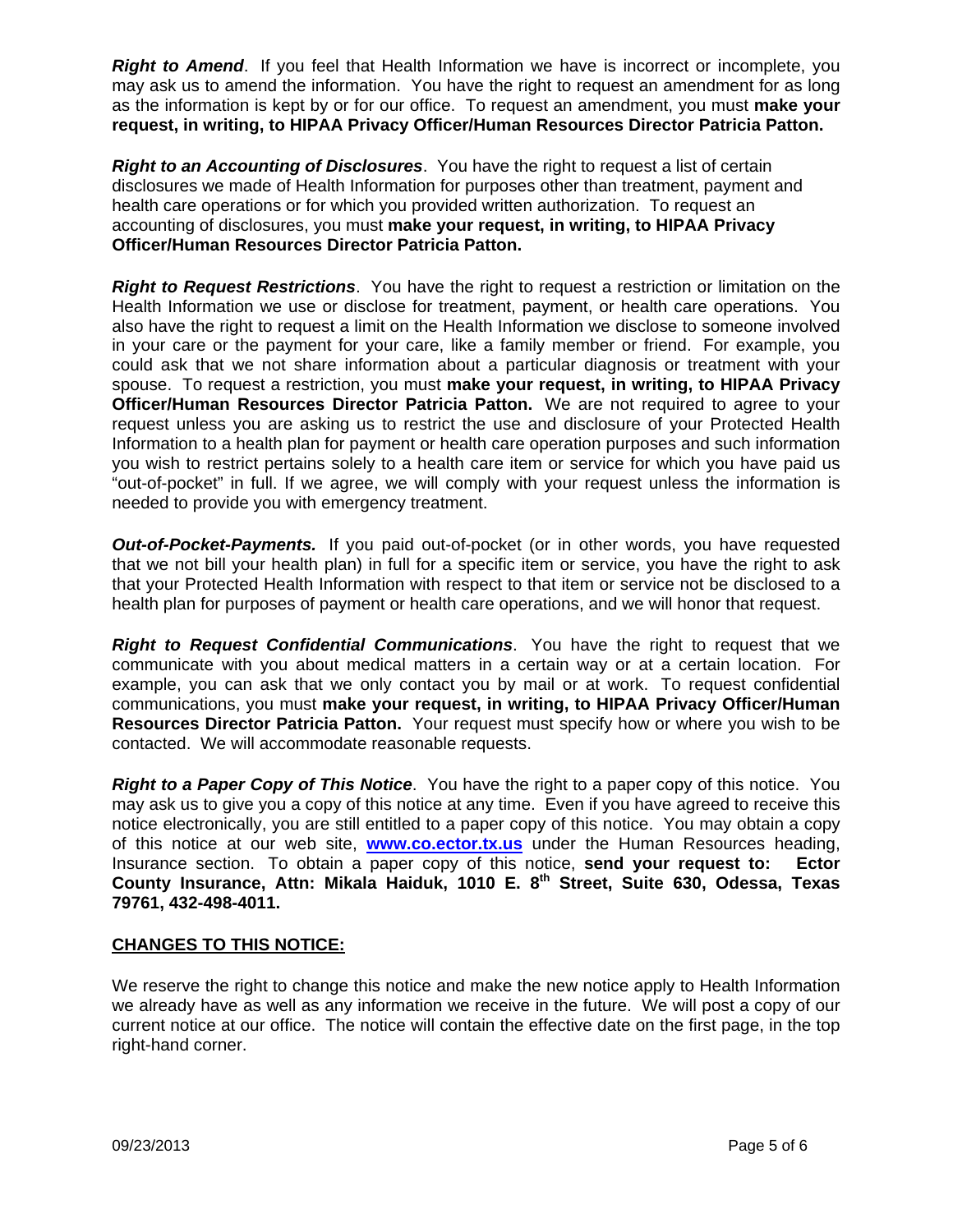*Right to Amend.* If you feel that Health Information we have is incorrect or incomplete, you may ask us to amend the information. You have the right to request an amendment for as long as the information is kept by or for our office. To request an amendment, you must **make your request, in writing, to HIPAA Privacy Officer/Human Resources Director Patricia Patton.**

*Right to an Accounting of Disclosures*. You have the right to request a list of certain disclosures we made of Health Information for purposes other than treatment, payment and health care operations or for which you provided written authorization. To request an accounting of disclosures, you must **make your request, in writing, to HIPAA Privacy Officer/Human Resources Director Patricia Patton.**

*Right to Request Restrictions*. You have the right to request a restriction or limitation on the Health Information we use or disclose for treatment, payment, or health care operations. You also have the right to request a limit on the Health Information we disclose to someone involved in your care or the payment for your care, like a family member or friend. For example, you could ask that we not share information about a particular diagnosis or treatment with your spouse. To request a restriction, you must **make your request, in writing, to HIPAA Privacy Officer/Human Resources Director Patricia Patton.** We are not required to agree to your request unless you are asking us to restrict the use and disclosure of your Protected Health Information to a health plan for payment or health care operation purposes and such information you wish to restrict pertains solely to a health care item or service for which you have paid us "out-of-pocket" in full. If we agree, we will comply with your request unless the information is needed to provide you with emergency treatment.

*Out-of-Pocket-Payments.* If you paid out-of-pocket (or in other words, you have requested that we not bill your health plan) in full for a specific item or service, you have the right to ask that your Protected Health Information with respect to that item or service not be disclosed to a health plan for purposes of payment or health care operations, and we will honor that request.

*Right to Request Confidential Communications*. You have the right to request that we communicate with you about medical matters in a certain way or at a certain location. For example, you can ask that we only contact you by mail or at work. To request confidential communications, you must **make your request, in writing, to HIPAA Privacy Officer/Human Resources Director Patricia Patton.** Your request must specify how or where you wish to be contacted. We will accommodate reasonable requests.

*Right to a Paper Copy of This Notice*. You have the right to a paper copy of this notice. You may ask us to give you a copy of this notice at any time. Even if you have agreed to receive this notice electronically, you are still entitled to a paper copy of this notice. You may obtain a copy of this notice at our web site, **www.co.ector.tx.us** under the Human Resources heading, Insurance section. To obtain a paper copy of this notice, **send your request to: Ector**  County Insurance, Attn: Mikala Haiduk, 1010 E. 8<sup>th</sup> Street, Suite 630, Odessa, Texas **79761, 432-498-4011.** 

# **CHANGES TO THIS NOTICE:**

We reserve the right to change this notice and make the new notice apply to Health Information we already have as well as any information we receive in the future. We will post a copy of our current notice at our office. The notice will contain the effective date on the first page, in the top right-hand corner.